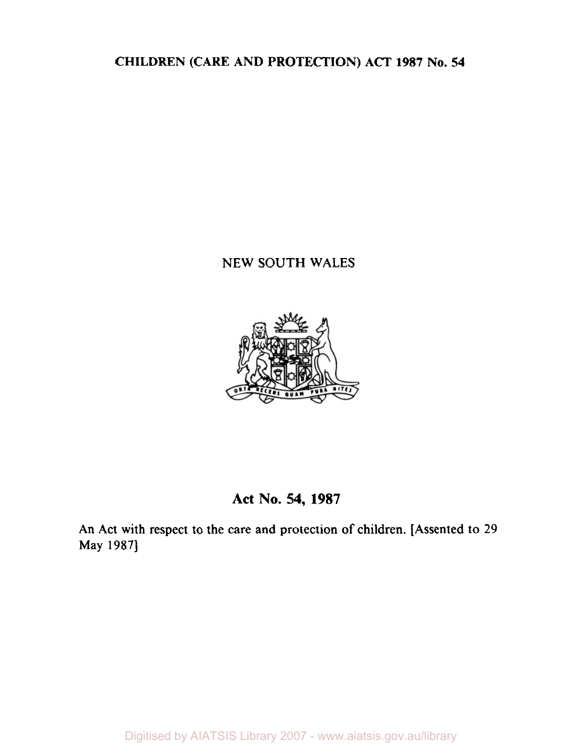**CHILDREN (CARE AND PROTECTION) ACT 1987 No. 54** 

# **NEW SOUTH WALES**



# **Act No. 54, 1987**

**An Act with respect to the care and protection of children. [Assented to 29 May 1987]**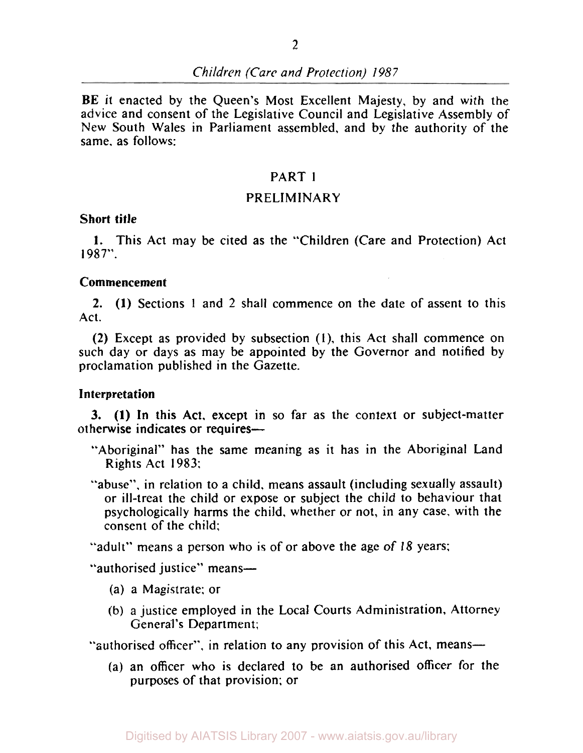BE it enacted by the Queen's Most Excellent Majesty, by and with the advice and consent of the Legislative Council and Legislative Assembly of New South Wales in Parliament assembled, and by the authority of the same. as follows:

### PART **<sup>1</sup>**

#### PRELIMINARY

#### **Short title**

**1.** This Act may be cited **as** the "Children (Care and Protection) Act **1987".** 

#### **Commencement**

**2. (1)** Sections **1** and 2 shall commence on the date of assent to this Act.

**(2)** Except as provided by subsection **(1),** this Act shall commence on such day or days **as** may be appointed by the Governor and notified by proclamation published in the Gazette.

#### **Interpretation**

otherwise indicates **or** requires-3. **(1)** In this Act. except in so far as the context or subject-matter

- "Aboriginal" has the same meaning as it has in the Aboriginal Land Rights Act **1983;**
- "abuse". in relation to a child, means assault (including sexually assault) or ill-treat the child or expose or subject the child to behaviour that psychologically harms the child, whether or not, in any case, with the consent of the child;

"adult" means a person who is of or above the age of **18** years:

"authorised justice" means-

- (a) a Magistrate: or
- (b) a justice employed in the Local Courts Administration, Attorney General's Department;

"authorised officer", in relation to any provision of this Act, means—

(a) an officer who is declared to be an authorised officer for the purposes of that provision; or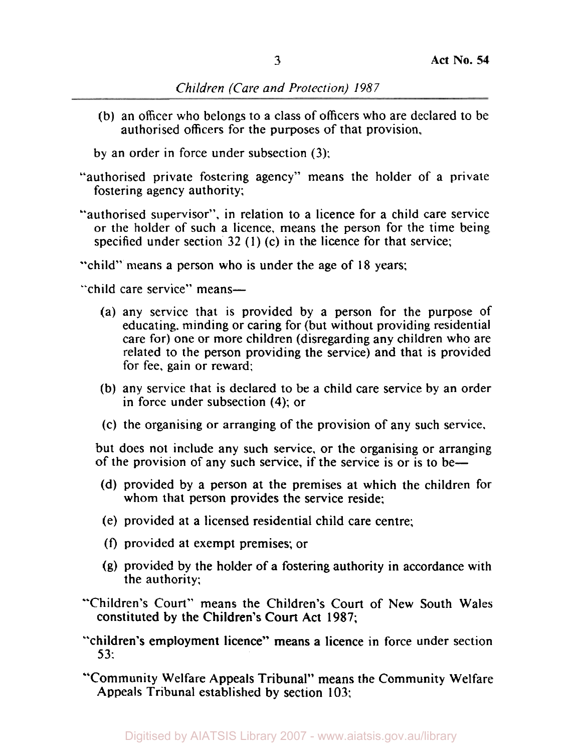(b) an officer who belongs to a class of officers who are declared to be authorised officers for the purposes of that provision,

by an order in force under subsection (3);

- "authorised private fostering agency" means the holder of a private fostering agency authority;
- "authorised supervisor", in relation to a licence for a child care service or the holder of such a licence, means the person for the time being specified under section 32 (1) (c) in the licence for that service;

"child" means a person who is under the age of 18 years;

"child care service" means-

- (a) any service that is provided by a person for the purpose of educating, minding or caring for (but without providing residential care for) one or more children (disregarding any children who are related to the person providing the service) and that is provided for fee, gain or reward:
- (b) any service that is declared to be a child care service by an order in force under subsection **(4);** or
- (c) the organising or arranging of the provision of any such service.

but does not include any such service, or the organising or arranging of the provision of any such service, if the service is or is to be-

- (d) provided by a person at the premises at which the children for whom that person provides the service reside;
- (e) provided at a licensed residential child care centre;
- **(f)** provided at exempt premises; or
- **(g)** provided by the holder of a fostering authority in accordance with the authority:
- "Children's Court" means the Children's Court of New South Wales constituted by the Children's Court Act 1987;
- "children's employment licence" means a licence in force under section *5* 3:
- "Community Welfare Appeals Tribunal" means the Community Welfare Appeals Tribunal established by section 103;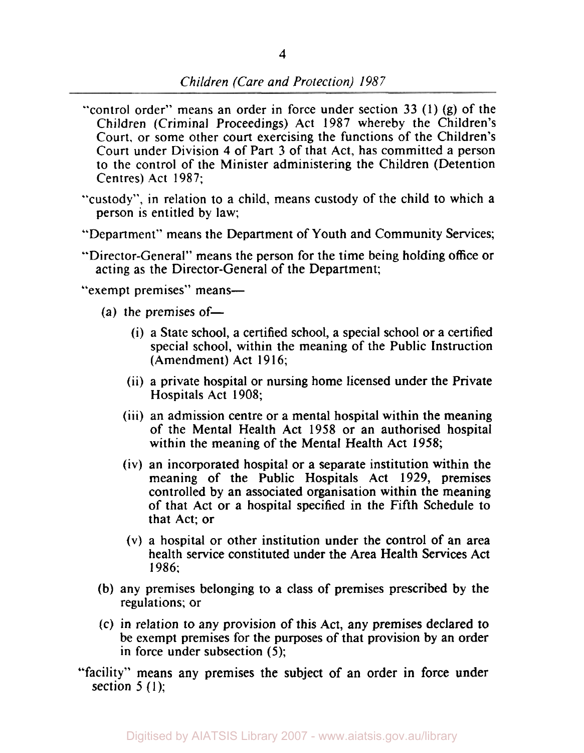- "control order" means an order in force under section 33 (1) (g) of the Children (Criminal Proceedings) Act 1987 whereby the Children's Court, or some other court exercising the functions of the Children's Court under Division **4** of Part 3 of that Act, has committed a person to the control of the Minister administering the Children (Detention Centres) Act 1987;
- "custody", in relation to a child, means custody of the child to which a person is entitled by law:
- "Department" means the Department of Youth and Community Services;
- "Director-General" means the person for the time being holding office or acting as the Director-General of the Department;

"exempt premises" means-

- (a) the premises of-
	- (i) a State school, a certified school, a special school or a certified special school, within the meaning of the Public Instruction (Amendment) Act 1916;
	- (ii) a private hospital or nursing home licensed under the Private Hospitals Act 1908;
	- (iii) an admission centre or a mental hospital within the meaning of the Mental Health Act **1958** or an authorised hospital within the meaning of the Mental Health Act 1958;
	- (iv) an incorporated hospital or a separate institution within the meaning of the Public Hospitals Act **1929,** premises controlled by an associated organisation within the meaning of that Act or a hospital specified in the Fifth Schedule to that Act; or
	- (v) a hospital or other institution under the control of an area health service constituted under the Area Health Services Act 1986:
- (b) any premises belonging to a class of premises prescribed by the regulations; or
- (c) in relation to any provision of this Act, any premises declared to be exempt premises for the purposes of that provision by an order in force under subsection (5);
- "facility" means any premises the subject of an order in force under section  $5(1)$ ;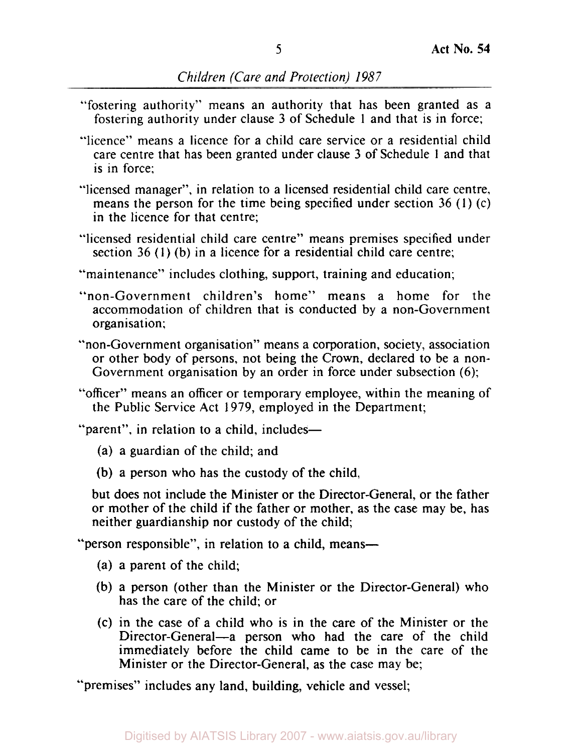- "fostering authority" means an authority that has been granted as a fostering authority under clause **3** of Schedule 1 and that is in force;
- "licence" means a licence for a child care service or a residential child care centre that has been granted under clause **3** of Schedule **1** and that is in force:
- "licensed manager", in relation to a licensed residential child care centre, means the person for the time being specified under section **36** (1) (c) in the licence for that centre;
- "licensed residential child care centre" means premises specified under section **36** (1) (b) in a licence for a residential child care centre;
- "maintenance" includes clothing, support, training and education;
- "non-Government children's home" means a home for the accommodation of children that is conducted by a non-Government organisation;
- "non-Government organisation" means a corporation, society, association or other body of persons, not being the Crown, declared to be a non-Government organisation by an order in force under subsection **(6);**
- "officer" means an officer or temporary employee, within the meaning of the Public Service Act 1979, employed in the Department;

"parent", in relation to a child, includes-

- (a) a guardian of the child; and
- (b) a person who has the custody of the child,

but does not include the Minister or the Director-General, or the father or mother of the child if the father or mother, as the case may be, has neither guardianship nor custody of the child;

"person responsible", in relation to a child, means-

- (a) a parent of the child;
- (b) a person (other than the Minister or the Director-General) who has the care of the child; or
- (c) in the case of a child who is in the care of the Minister or the Director-General-a person who had the care of the child immediately before the child came to be in the care of the Minister or the Director-General, as the case may be;

"premises" includes any land, building, vehicle and vessel;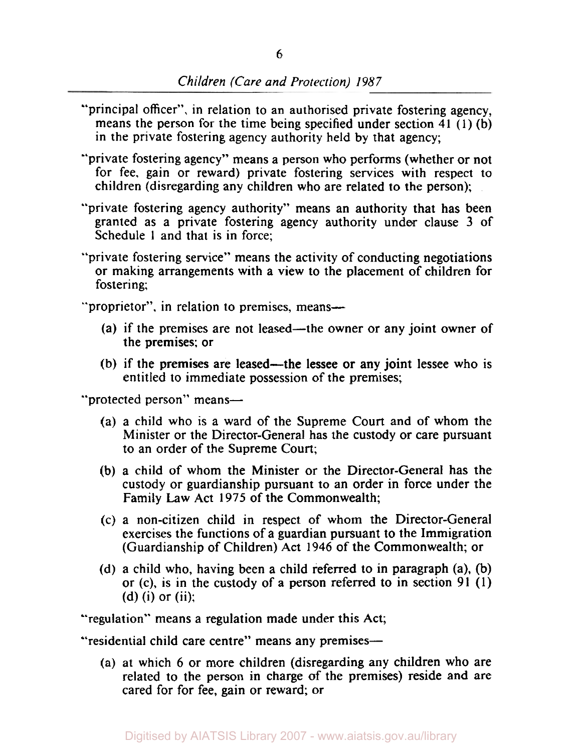- "principal officer", in relation to an authorised private fostering agency, means the person for the time being specified under section **41 (1)** (b) in the private fostering agency authority held by that agency;
- "private fostering agency" means a person who performs (whether or not for fee, gain or reward) private fostering services with respect to children (disregarding any children who are related to the person);
- "private fostering agency authority" means an authority that has been granted as a private fostering agency authority under clause 3 of Schedule 1 and that is in force;
- "private fostering service" means the activity of conducting negotiations or making arrangements with a view to the placement of children for fostering;

"proprietor", in relation to premises, means—

- (a) if the premises are not leased—the owner or any joint owner of the premises; or
- (b) if the premises are leased—the lessee or any joint lessee who is entitled to immediate possession of the premises;

"protected person" means-

- (a) a child who is a ward of the Supreme Court and of whom the Minister or the Director-General has the custody or care pursuant to an order of the Supreme Court;
- (b) a child of whom the Minister or the Director-General has the custody or guardianship pursuant to an order in force under the Family Law Act 1975 of the Commonwealth;
- (c) a non-citizen child in respect of whom the Director-General exercises the functions of a guardian pursuant to the Immigration (Guardianship of Children) Act **1946** of the Commonwealth; or
- (d) a child who, having been a child referred to in paragraph (a), (b) or (c), is in the custody of a person referred to in section **91** (1) (d) (i) or (ii);

"regulation" means a regulation made under this Act;

"residential child care centre" means any premises-

(a) at which **6** or more children (disregarding any children who are related to the person in charge of the premises) reside and are cared for for fee, gain or reward; or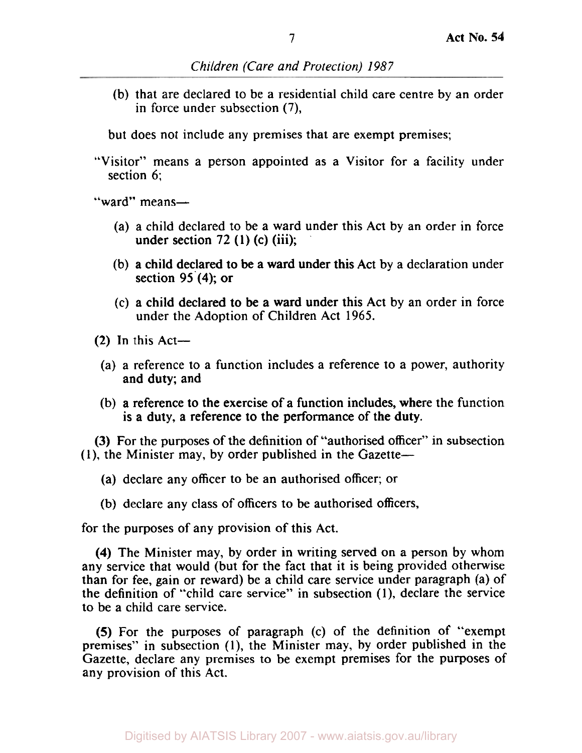(b) that are declared to be a residential child care centre by an order in force under subsection (7),

but does not include any premises that are exempt premises;

"Visitor" means a person appointed as a Visitor for a facility under section 6;

"ward" means-

- (a) a child declared to be a ward under this Act by an order in force under section  $72$  (1) (c) (iii);
- (b) a child declared to be a ward under this Act by a declaration under section 95 **(4);** or
- (c) a child declared to be a ward under this Act by an order in force under the Adoption of Children Act 1965.
- $(2)$  In this Act-
	- (a) a reference to a function includes a reference to a power, authority and duty; and
- (b) a reference to the exercise of a function includes, where the function is a duty, a reference to the performance of the duty.

(3) For the purposes of the definition of "authorised officer" in subsection (I), the Minister may, by order published in the Gazette-

- (a) declare any officer to be an authorised officer; or
- (b) declare any class of officers to be authorised officers,

for the purposes of any provision of this Act.

**(4)** The Minister may, by order in writing served on a person by whom any service that would (but for the fact that it is being provided otherwise than for fee, gain or reward) be **a** child care service under paragraph (a) of the definition of "child care service" in subsection (1), declare the service to be a child care service.

*(5)* For the purposes of paragraph (c) of the definition of "exempt premises" in subsection (1), the Minister may, by order published in the Gazette, declare any premises to be exempt premises for the purposes of any provision of this Act.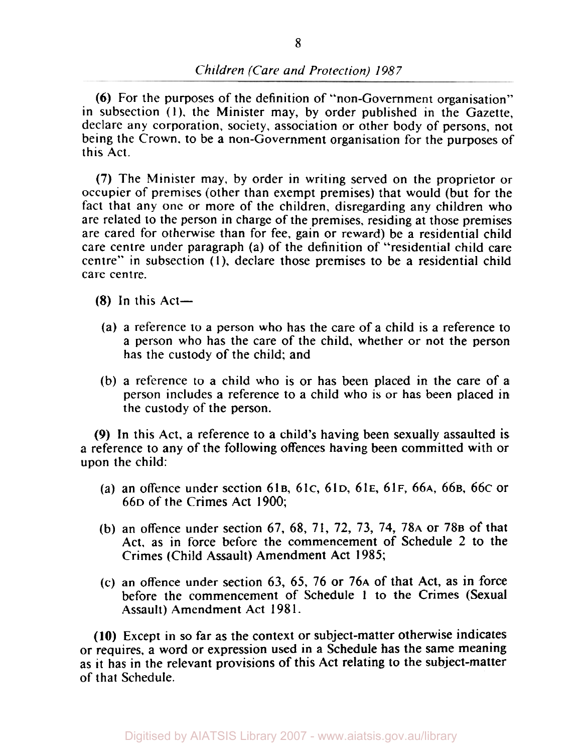(6) For the purposes of the definition of "non-Government organisation" in subsection **(1),** the Minister may, by order published in the Gazette, declare any corporation, society, association or other body of persons, not being the Crown. to be a non-Government organisation for the purposes of this Act.

(7) The Minister may, by order in writing served on the proprietor or occupier of premises (other than exempt premises) that would (but for the fact that any one or more of the children, disregarding any children who are related to the person in charge of the premises, residing at those premises are cared for otherwise than for fee, gain or reward) be a residential child care centre under paragraph (a) of the definition of "residential child care centre" in subsection **(1),** declare those premises to be a residential child care centre.

 $(8)$  In this Act-

- (a) a reference to a person who has the care of a child is a reference to a person who has the care of the child, whether or not the person has the custody of the child; and
- (b) a reference to a child who is or has been placed in the care of a person includes a reference to a child who is or has been placed in the custody of the person.

*(9)* In this Act. a reference to a child's having been sexually assaulted is a reference to any of the following offences having been committed with or upon the child:

- (a) an offence under section **61B, 61c, 61D, 61E, 61F, 66A, 66B, 66c** or **66D** of the Crimes Act 1900;
- (b) an offence under section **67, 68, 71, 72, 73, 74, 78A** or **78B** of that Act, as in force before the commencement of Schedule 2 to the Crimes (Child Assault) Amendment Act 1985;
- (c) an offence under section **63, 65, 76** or **76A** of that Act, **as** in force before the commencement of Schedule **1** to the Crimes (Sexual Assault) Amendment Act 198 **1.**

**(10)** Except in so far as the context or subject-matter otherwise indicates or requires, a word or expression used in a Schedule has the same meaning as it has in the relevant provisions of this Act relating to the subject-matter of that Schedule.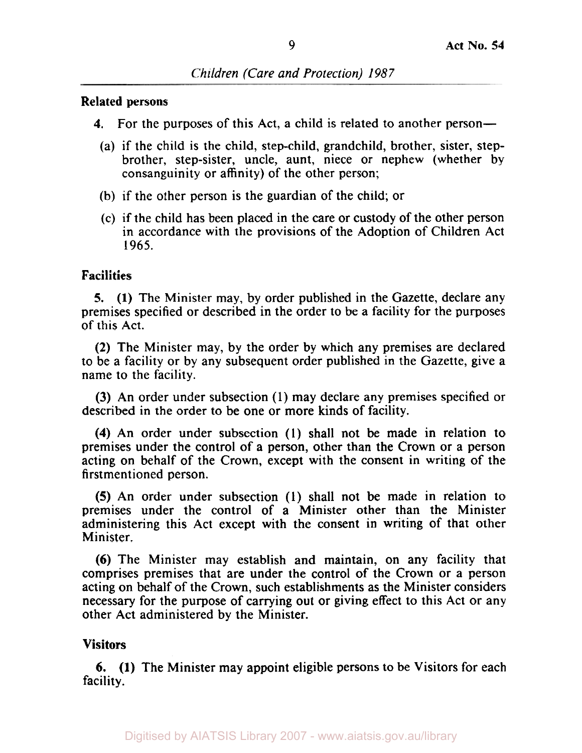#### Related persons

- **4.** For the purposes of this Act, a child is related to another person—
- (a) if the child is the child, step-child, grandchild, brother, sister, stepbrother, step-sister, uncle, aunt, niece or nephew (whether by consanguinity or affinity) of the other person;
- (b) if the other person is the guardian of the child; or
- (c) if the child has been placed in the care or custody of the other person in accordance with the provisions of the Adoption of Children Act 1965.

## Facilities

*5.* **(1)** The Minister may, by order published in the Gazette, declare any premises specified or described in the order to be a facility for the purposes of this Act.

**(2)** The Minister may, by the order by which any premises are declared to be a facility or by any subsequent order published in the Gazette, give a name to the facility.

(3) An order under subsection (1) may declare any premises specified or described in the order to be one or more kinds of facility.

**(4)** An order under subsection **(1)** shall not be made in relation to premises under the control of a person, other than the Crown or a person acting on behalf of the Crown, except with the consent in writing of the firstmentioned person.

**(5)** An order under subsection (1) shall not be made in relation to premises under the control of a Minister other than the Minister administering this Act except with the consent in writing of that other Minister.

(6) The Minister may establish and maintain, on any facility that comprises premises that are under the control of the Crown or a person acting on behalf of the Crown, such establishments as the Minister considers necessary for the purpose of carrying out or giving effect to this Act or any other Act administered by the Minister.

## Visitors

6. **(1)** The Minister may appoint eligible persons to be Visitors for each facility.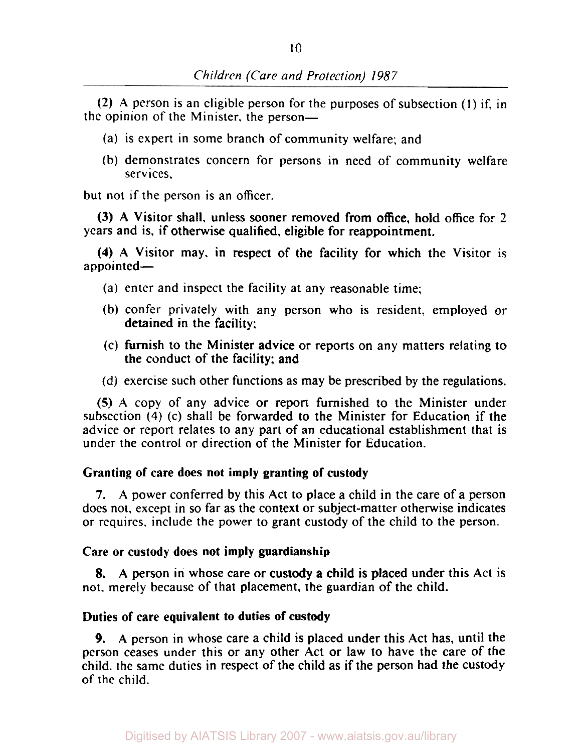**(2) A** person is an eligible person for the purposes of subsection (1) if, in the opinion of the Minister, the person-

- (a) is expert in some branch of community welfare; and
- (b) demonstrates concern for persons in need of community welfare services,

but not if the person is an officer.

years and is. if otherwise qualified, eligible for reappointment. **(3) A** Visitor shall. unless sooner removed from office, hold office for 2

appointed-**(4) A** Visitor may, in respect of the facility for which the Visitor is

- (a) enter and inspect the facility at any reasonable time;
- (b) confer privately with any person who is resident, employed or detained in the facility;
- (c) furnish to the Minister advice or reports on any matters relating to the conduct of the facility: and
- (d) exercise such other functions as may be prescribed by the regulations.

**(5) A** copy of any advice or report furnished to the Minister under subsection **(4)** (c) shall be forwarded to the Minister for Education if the advice or report relates to any part of an educational establishment that is under the control or direction of the Minister for Education.

## **Granting of care does not imply granting of custody**

**7. A** power conferred by this Act to place a child in the care of a person does not, except in *so* far as the context or subject-matter otherwise indicates or requires. include the power to grant custody of the child to the person.

## **Care or custody does not imply guardianship**

not. merely because of that placement, the guardian of the child. **8. A** person in whose care or custody a child is placed under this Act is

## **Duties of care equivalent to duties of custody**

**A** person in whose care a child is placed under this Act has, until the **9.**  person ceases under this or any other Act or law to have the care of the child. the same duties in respect of the child as if the person had the custody of the child.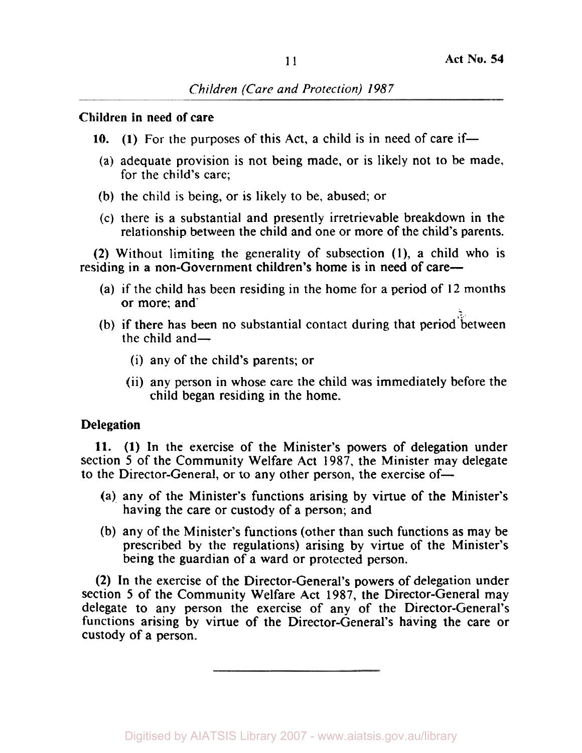## Children in need **of** care

- 10. (1) For the purposes of this Act, a child is in need of care if—
- (a) adequate provision is not being made, or is likely not to be made, for the child's care;
- (b) the child is being, or is likely to be, abused; or
- (c) there **is** a substantial and presently irretrievable breakdown in the relationship between the child and one or more of the child's parents.

**(2)** Without limiting the generality of subsection **(1),** a child who is residing in a non-Government children's home is in need of care-

- (a) if the child has been residing in the home for a period of **12** months or more; and'
- (b) if there has been no substantial contact during that period between the child and  $-$ 
	- (i) any of the child's parents; or
	- (ii) any person in whose care the child was immediately before the child began residing in the home.

## Delegation

**11. (1)** In the exercise of the Minister's powers **of** delegation under section 5 of the Community Welfare Act 1987, the Minister may delegate to the Director-General, or to any other person, the exercise of-

- (a) any of the Minister's functions arising by virtue of the Minister's having the care or custody of a person; and
- (b) any of the Minister's functions (other than such functions as may be prescribed by the regulations) arising by virtue of the Minister's being the guardian of a ward or protected person.

**(2)** In the exercise of the Director-General's powers of delegation under section 5 of the Community Welfare Act 1987, the Director-General may delegate to any person the exercise of any of the Director-General's functions arising by virtue of the Director-General's having the care or custody of a person.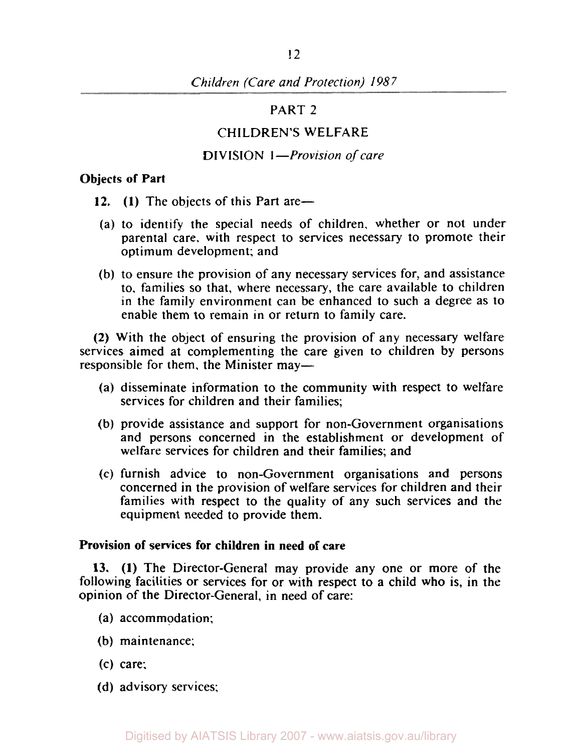#### PART 2

## CHILDREN'S WELFARE

#### DIVISION *I-Provision* of *care*

#### Objects of Part

- 12. **(1)** The objects of this Part are-
- (a) to identify the special needs of children, whether or not under parental care. with respect to services necessary to promote their optimum development; and
- (b) to ensure the provision of any necessary services for, and assistance to, families so that, where necessary, the care available to children in the family environment can be enhanced to such a degree as to enable them to remain in or return to family care.

(2) With the object of ensuring the provision of any necessary welfare services aimed at complementing the care given to children by persons responsible for them, the Minister may-

- (a) disseminate information to the community with respect to welfare services for children and their families;
- (b) provide assistance and support for non-Government organisations and persons concerned in the establishment or development of welfare services for children and their families; and
- (c) furnish advice to non-Government organisations and persons concerned in the provision of welfare services for children and their families with respect to the quality of any such services and the equipment needed to provide them.

#### Provision of services for children in need of care

13. **(1)** The Director-General may provide any one or more of the following facilities or services for or with respect to a child who is, in the opinion of the Director-General, in need of care:

- (a) accommodation:
- (b) maintenance;
- (c) care;
- (d) advisory services;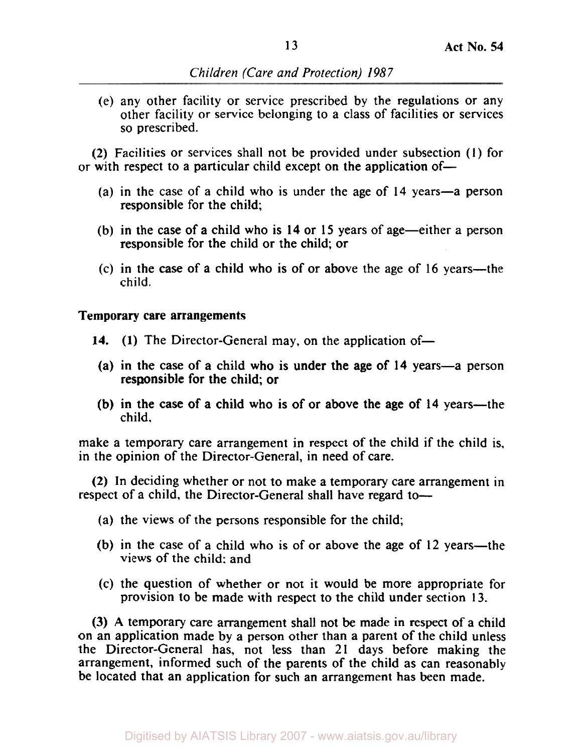(e) any other facility or service prescribed by the regulations or any other facility or service belonging to a class of facilities or services so prescribed.

(2) Facilities or services shall not be provided under subsection **(1)** for or with respect to a particular child except on the application of-

- (a) in the case of a child who is under the age of **14** years-a person responsible for the child;
- (b) in the case of a child who is **14** or **15** years of age-either a person responsible for the child or the child; or
- (c) in the case of a child who is of or above the age of **16** years-the child.

**Temporary care arrangements** 

- **14.** (1) The Director-General may, on the application of-
- responsible for the child; or (a) in the case of a child who is under the age of **14** years-a person
- child. (b) in the case of a child who is of or above the age of 14 years-the

make a temporary care arrangement in respect of the child if the child is, in the opinion of the Director-General, in need of care.

**(2)** In deciding whether or not to make a temporary care arrangement in respect of a child, the Director-General shall have regard to-

- (a) the views of the persons responsible for the child;
- (b) in the case of a child who is of or above the age of  $12$  years-the views of the child: and
- (c) the question of whether or not it would be more appropriate for provision to be made with respect to the child under section **13.**

(3) **A** temporary care arrangement shall not be made in respect of a child on an application made by a person other than a parent of the child unless the Director-General has, not less than **21** days before making the arrangement, informed such of the parents of the child as can reasonably be located that an application for such an arrangement has been made.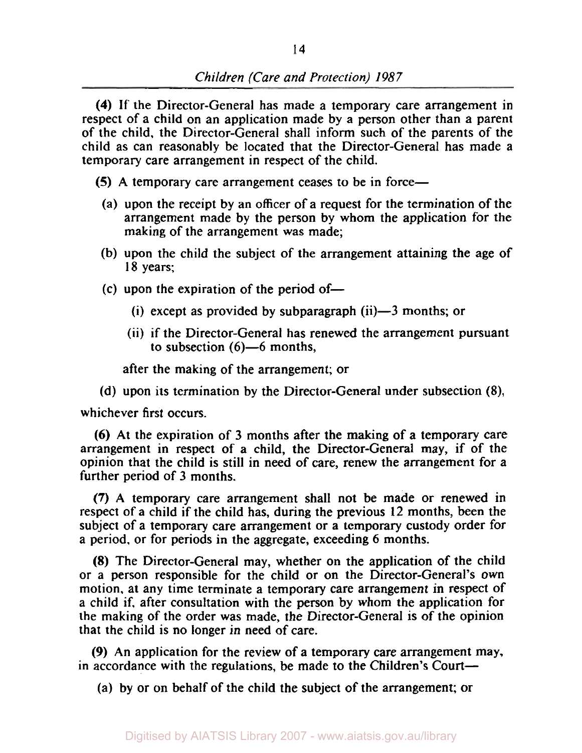**(4)** If the Director-General has made a temporary care arrangement in respect of a child on an application made by a person other than a parent of the child, the Director-General shall inform such of the parents of the child as can reasonably be located that the Director-General has made a temporary care arrangement in respect of the child.

**(5)** A temporary care arrangement ceases to be in force-

- (a) upon the receipt by an officer of a request for the termination of the arrangement made by the person by whom the application for the making of the arrangement was made;
- (b) upon the child the subject of the arrangement attaining the age of **18** years;
- $(c)$  upon the expiration of the period of-
	- (i) except as provided by subparagraph  $(ii)$ —3 months; or
	- (ii) if the Director-General has renewed the arrangement pursuant to subsection  $(6)$ —6 months,

after the making of the arrangement; or

(d) upon its termination by the Director-General under subsection **(8),** 

whichever first occurs.

(6) At the expiration of 3 months after the making of a temporary care arrangement in respect of a child, the Director-General may, if of the opinion that the child is still in need of care, renew the arrangement for a further period of 3 months.

**(7)** A temporary care arrangement shall not be made or renewed in respect of a child if the child has, during the previous 12 months, been the subject of a temporary care arrangement or a temporary custody order for a period, or for periods in the aggregate, exceeding 6 months.

(8) The Director-General may, whether on the application of the child or a person responsible for the child or on the Director-General's own motion. at any time terminate a temporary care arrangement in respect of a child if, after consultation with the person by whom the application for the making of the order was made, the Director-General is of the opinion that the child is no longer in need of care.

*(9)* An application for the review of a temporary care arrangement may, in accordance with the regulations, be made to the Children's Court-

(a) by or on behalf of the child the subject of the arrangement; or